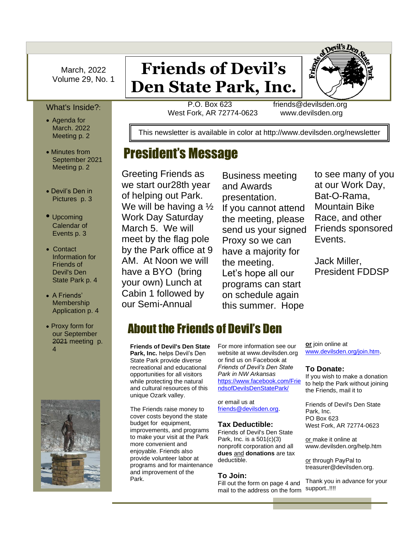March, 2022 Volume 29, No. 1

### What's Inside?:

- Agenda for March. 2022 Meeting p. 2
- Minutes from September 2021 Meeting p. 2
- Devil's Den in Pictures p. 3
- Upcoming Calendar of Events p. 3
- Contact Information for Friends of Devil's Den State Park p. 4
- A Friends' Membership Application p. 4
- Proxy form for our September 2021 meeting p. 4



# **Friends of Devil's Den State Park, Inc.**

P.O. Box 623 friends<br>West Fork, AR 72774-0623 www. P.O. Box 623 friends@devilsden.org West Fork, AR 72774-0623 www.devilsden.org

This newsletter is available in color at http://www.devilsden.org/newsletter

## President's Message

by the Park office at<br>AM. At Noon we wi<br>have a BYO (bring Greeting Friends as we start our28th year of helping out Park. We will be having a ½ Work Day Saturday March 5. We will meet by the flag pole by the Park office at 9 AM. At Noon we will your own) Lunch at Cabin 1 followed by our Semi-Annual

Business meeting and Awards presentation. If you cannot attend the meeting, please send us your signed Proxy so we can have a majority for the meeting. Let's hope all our programs can start on schedule again this summer. Hope

to see many of you at our Work Day, Bat-O-Rama, Mountain Bike Race, and other Friends sponsored Events.

Jack Miller, President FDDSP

## About the Friends of Devil's Den

**Friends of Devil's Den State Park, Inc.** helps Devil's Den State Park provide diverse recreational and educational opportunities for all visitors while protecting the natural and cultural resources of this unique Ozark valley.

The Friends raise money to cover costs beyond the state budget for equipment, improvements, and programs to make your visit at the Park more convenient and enjoyable. Friends also provide volunteer labor at programs and for maintenance and improvement of the Park.

For more information see our website at www.devilsden.org or find us on Facebook at *Friends of Devil's Den State Park in NW Arkansas* [https://www.facebook.com/Frie](file:///C:/Users/Aiimee/AppData/Local/Microsoft/Windows/INetCache/Content.Outlook/W18USBRO/Friends%20of%20Devil’s%20Den%20State%20Park%20in%20NW%20Arkansas) [ndsofDevilsDenStatePark/](file:///C:/Users/Aiimee/AppData/Local/Microsoft/Windows/INetCache/Content.Outlook/W18USBRO/Friends%20of%20Devil’s%20Den%20State%20Park%20in%20NW%20Arkansas) 

or email us at [friends@devilsden.org.](file:///C:/Users/Aiimee/AppData/Local/Microsoft/Windows/INetCache/Content.Outlook/W18USBRO/friends@devilsden.org)

### **Tax Deductible:**

Friends of Devil's Den State Park, Inc. is a  $501(c)(3)$ nonprofit corporation and all **dues** and **donations** are tax deductible.

#### **To Join:**

Fill out the form on page 4 and mail to the address on the form support..!!!!

**or** join online at [www.devilsden.org/join.htm](file:///C:/Users/Aiimee/AppData/Local/Microsoft/Windows/INetCache/Content.Outlook/W18USBRO/www.devilsden.org/join.htm).

#### **To Donate:**

If you wish to make a donation to help the Park without joining the Friends, mail it to

Friends of Devil's Den State Park, Inc. PO Box 623 West Fork, AR 72774-0623

or make it online at www.devilsden.org/help.htm

or through PayPal to treasurer@devilsden.org.

Thank you in advance for your

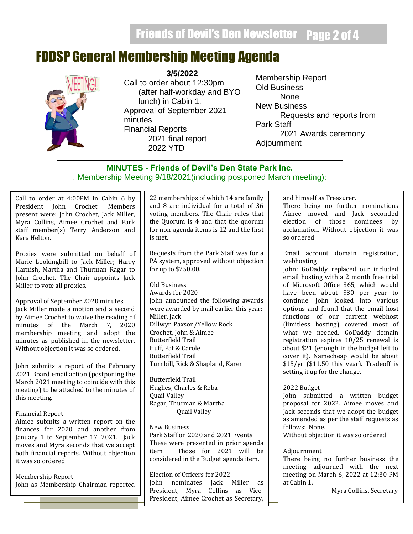## FDDSP General Membership Meeting Agenda



**3/5/2022**

Call to order about 12:30pm (after half-workday and BYO lunch) in Cabin 1. Approval of September 2021 minutes Financial Reports 2021 final report 2022 YTD

Membership Report Old Business None New Business Requests and reports from Park Staff 2021 Awards ceremony Adjournment

## **MINUTES - Friends of Devil's Den State Park Inc.** . Membership Meeting 9/18/2021(including postponed March meeting):

Call to order at 4:00PM in Cabin 6 by President John Crochet. Members present were: John Crochet, Jack Miller, Myra Collins, Aimee Crochet and Park staff member(s) Terry Anderson and Kara Helton.

Proxies were submitted on behalf of Marie Lookingbill to Jack Miller; Harry Harnish, Martha and Thurman Ragar to John Crochet. The Chair appoints Jack Miller to vote all proxies.

Approval of September 2020 minutes Jack Miller made a motion and a second by Aimee Crochet to waive the reading of minutes of the March 7, 2020 membership meeting and adopt the minutes as published in the newsletter. Without objection it was so ordered.

John submits a report of the February 2021 Board email action (postponing the March 2021 meeting to coincide with this meeting) to be attached to the minutes of this meeting.

### Financial Report

Aimee submits a written report on the finances for 2020 and another from January 1 to September 17, 2021. Jack moves and Myra seconds that we accept both financial reports. Without objection it was so ordered.

Membership Report John as Membership Chairman reported

22 memberships of which 14 are family and 8 are individual for a total of 36 voting members. The Chair rules that the Quorum is 4 and that the quorum for non-agenda items is 12 and the first is met.

Requests from the Park Staff was for a PA system, approved without objection for up to \$250.00.

Old Business Awards for 2020 John announced the following awards were awarded by mail earlier this year: Miller, Jack Dillwyn Paxson/Yellow Rock Crochet, John & Aimee Butterfield Trail Huff, Pat & Carole Butterfield Trail Turnbill, Rick & Shapland, Karen

Butterfield Trail Hughes, Charles & Reba Quail Valley Ragar, Thurman & Martha Quail Valley

New Business Park Staff on 2020 and 2021 Events These were presented in prior agenda item. Those for 2021 will be considered in the Budget agenda item.

Election of Officers for 2022 John nominates Jack Miller as President, Myra Collins as Vice-President, Aimee Crochet as Secretary,

and himself as Treasurer.

There being no further nominations Aimee moved and Jack seconded election of those nominees by acclamation. Without objection it was so ordered.

Email account domain registration, webhosting

John: GoDaddy replaced our included email hosting with a 2 month free trial of Microsoft Office 365, which would have been about \$30 per year to continue. John looked into various options and found that the email host functions of our current webhost (limitless hosting) covered most of what we needed. GoDaddy domain registration expires 10/25 renewal is about \$21 (enough in the budget left to cover it). Namecheap would be about \$15/yr (\$11.50 this year). Tradeoff is setting it up for the change.

### 2022 Budget

John submitted a written budget proposal for 2022. Aimee moves and Jack seconds that we adopt the budget as amended as per the staff requests as follows: None.

Without objection it was so ordered.

### Adjournment

There being no further business the meeting adjourned with the next meeting on March 6, 2022 at 12:30 PM at Cabin 1.

Myra Collins, Secretary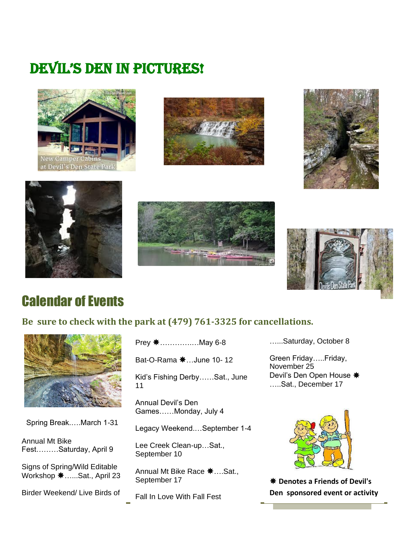## DEVIL'S DEN IN PICTURES!













## Calendar of Events

## **Be sure to check with the park at (479) 761-3325 for cancellations.**



Spring Break.….March 1-31

Annual Mt Bike Fest………Saturday, April 9

Signs of Spring/Wild Editable Workshop  $\textbf{*}$ ......Sat., April 23

Birder Weekend/ Live Birds of

Prey ………….…May 6-8

Bat-O-Rama  $\text{\#}$ ...June 10-12

Kid's Fishing Derby……Sat., June 11

Annual Devil's Den Games……Monday, July 4

Legacy Weekend.…September 1-4

Lee Creek Clean-up…Sat., September 10

Annual Mt Bike Race  $\clubsuit$  .... Sat., September 17

Fall In Love With Fall Fest

…...Saturday, October 8

Green Friday…..Friday, November 25 Devil's Den Open House  $*$ …..Sat., December 17



 **Denotes a Friends of Devil's Den sponsored event or activity**